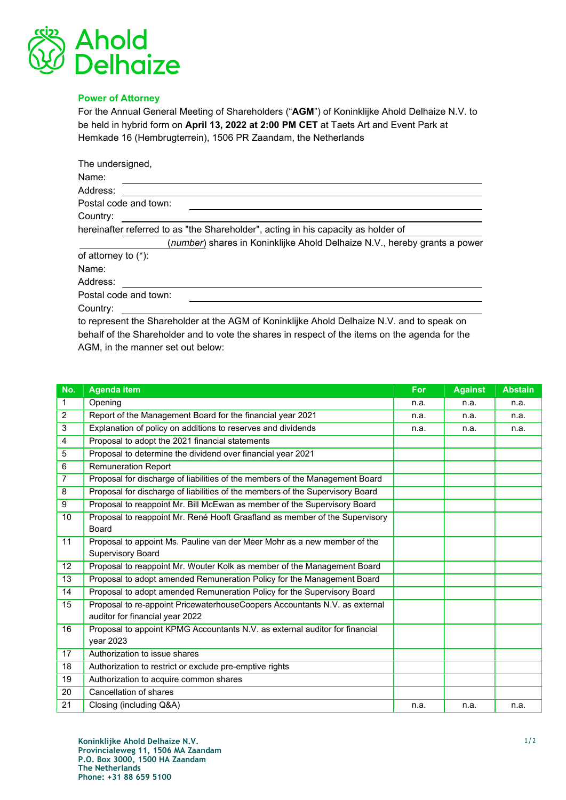

## Power of Attorney

For the Annual General Meeting of Shareholders ("AGM") of Koninklijke Ahold Delhaize N.V. to be held in hybrid form on April 13, 2022 at 2:00 PM CET at Taets Art and Event Park at Hemkade 16 (Hembrugterrein), 1506 PR Zaandam, the Netherlands

| The undersigned,                                                                           |
|--------------------------------------------------------------------------------------------|
| Name:                                                                                      |
| Address:                                                                                   |
| Postal code and town:                                                                      |
| Country:                                                                                   |
| hereinafter referred to as "the Shareholder", acting in his capacity as holder of          |
| (number) shares in Koninklijke Ahold Delhaize N.V., hereby grants a power                  |
| of attorney to $(*)$ :                                                                     |
| Name:                                                                                      |
| Address:                                                                                   |
| Postal code and town:                                                                      |
| Country:                                                                                   |
| to represent the Shareholder at the AGM of Koninklijke Ahold Delhaize N.V. and to speak on |

behalf of the Shareholder and to vote the shares in respect of the items on the agenda for the AGM, in the manner set out below:

| No.            | <b>Agenda item</b>                                                            | For  | <b>Against</b> | <b>Abstain</b> |
|----------------|-------------------------------------------------------------------------------|------|----------------|----------------|
| 1              | Opening                                                                       | n.a. | n.a.           | n.a.           |
| $\overline{2}$ | Report of the Management Board for the financial year 2021                    | n.a. | n.a.           | n.a.           |
| 3              | Explanation of policy on additions to reserves and dividends                  | n.a. | n.a.           | n.a.           |
| 4              | Proposal to adopt the 2021 financial statements                               |      |                |                |
| 5              | Proposal to determine the dividend over financial year 2021                   |      |                |                |
| 6              | <b>Remuneration Report</b>                                                    |      |                |                |
| $\overline{7}$ | Proposal for discharge of liabilities of the members of the Management Board  |      |                |                |
| 8              | Proposal for discharge of liabilities of the members of the Supervisory Board |      |                |                |
| 9              | Proposal to reappoint Mr. Bill McEwan as member of the Supervisory Board      |      |                |                |
| 10             | Proposal to reappoint Mr. René Hooft Graafland as member of the Supervisory   |      |                |                |
|                | <b>Board</b>                                                                  |      |                |                |
| 11             | Proposal to appoint Ms. Pauline van der Meer Mohr as a new member of the      |      |                |                |
|                | <b>Supervisory Board</b>                                                      |      |                |                |
| 12             | Proposal to reappoint Mr. Wouter Kolk as member of the Management Board       |      |                |                |
| 13             | Proposal to adopt amended Remuneration Policy for the Management Board        |      |                |                |
| 14             | Proposal to adopt amended Remuneration Policy for the Supervisory Board       |      |                |                |
| 15             | Proposal to re-appoint PricewaterhouseCoopers Accountants N.V. as external    |      |                |                |
|                | auditor for financial year 2022                                               |      |                |                |
| 16             | Proposal to appoint KPMG Accountants N.V. as external auditor for financial   |      |                |                |
|                | year 2023                                                                     |      |                |                |
| 17             | Authorization to issue shares                                                 |      |                |                |
| 18             | Authorization to restrict or exclude pre-emptive rights                       |      |                |                |
| 19             | Authorization to acquire common shares                                        |      |                |                |
| 20             | Cancellation of shares                                                        |      |                |                |
| 21             | Closing (including Q&A)                                                       | n.a. | n.a.           | n.a.           |